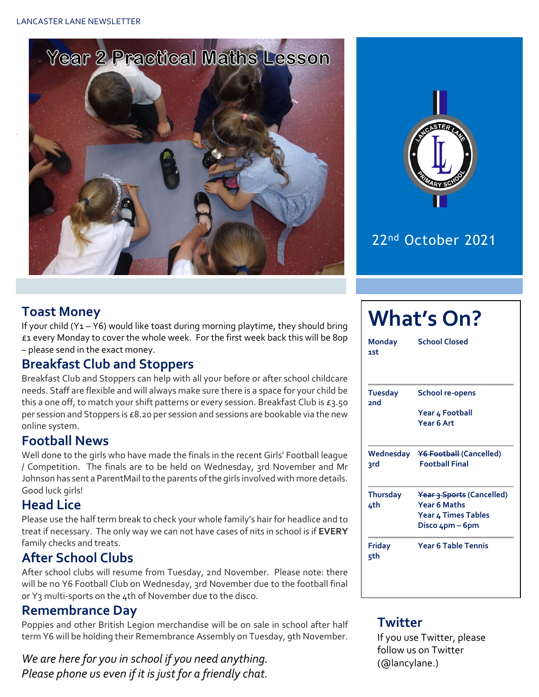LANCASTER LANE NEWSLETTER





### 22nd October 2021

#### **Toast Money**

If your child (Y<sub>1</sub> – Y6) would like toast during morning playtime, they should bring £1 every Monday to cover the whole week. For the first week back this will be 80p – please send in the exact money.

#### **Breakfast Club and Stoppers**

Breakfast Club and Stoppers can help with all your before or after school childcare needs. Staff are flexible and will always make sure there is a space for your child be this a one off, to match your shift patterns or every session. Breakfast Club is £3.50 per session and Stoppers is £8.20 per session and sessions are bookable via the new online system.

#### **Football News**

Well done to the girls who have made the finals in the recent Girls' Football league / Competition. The finals are to be held on Wednesday, 3rd November and Mr Johnson has sent a ParentMail to the parents of the girls involved with more details. Good luck girls!

#### **Head Lice**

Please use the half term break to check your whole family's hair for headlice and to treat if necessary. The only way we can not have cases of nits in school is if **EVERY** family checks and treats.

#### **After School Clubs**

After school clubs will resume from Tuesday, 2nd November. Please note: there will be no Y6 Football Club on Wednesday, 3rd November due to the football final or Y3 multi-sports on the 4th of November due to the disco.

#### **Remembrance Day**

Poppies and other British Legion merchandise will be on sale in school after half term Y6 will be holding their Remembrance Assembly on Tuesday, 9th November.

*We are here for you in school if you need anything. Please phone us even if it is just for a friendly chat.* 

## **What's On? Monday School Closed 1st Tuesday School re-opens 2nd Year 4 Football Year 6 Art Wednesday Y6 Football (Cancelled) 3rd Football Final Thursday Year 3 Sports (Cancelled) 4th Year 6 Maths Year 4 Times Tables Disco 4pm – 6pm Friday Year 6 Table Tennis 5th**

#### **Twitter**

If you use Twitter, please follow us on Twitter (@lancylane.)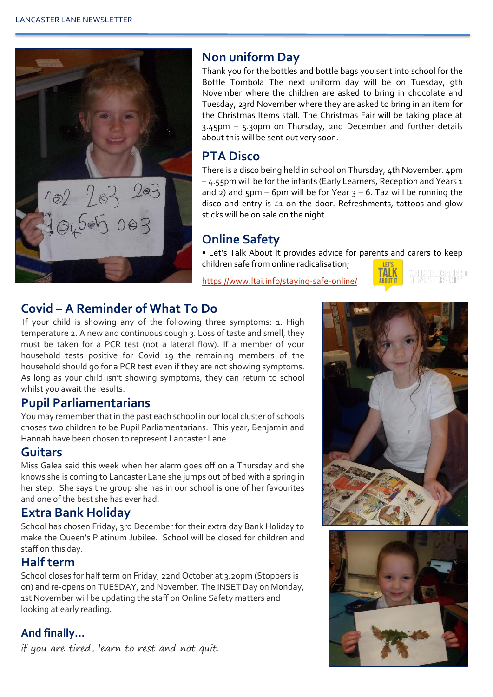

#### **Non uniform Day**

Thank you for the bottles and bottle bags you sent into school for the Bottle Tombola The next uniform day will be on Tuesday, 9th November where the children are asked to bring in chocolate and Tuesday, 23rd November where they are asked to bring in an item for the Christmas Items stall. The Christmas Fair will be taking place at 3.45pm – 5.30pm on Thursday, 2nd December and further details about this will be sent out very soon.

#### **PTA Disco**

There is a disco being held in school on Thursday, 4th November. 4pm – 4.55pm will be for the infants (Early Learners, Reception and Years 1 and 2) and  $5$ pm – 6pm will be for Year  $3 - 6$ . Taz will be running the disco and entry is £1 on the door. Refreshments, tattoos and glow sticks will be on sale on the night.

#### **Online Safety**

• Let's Talk About It provides advice for parents and carers to keep children safe from online radicalisation;

<https://www.ltai.info/staying-safe-online/>



#### **Covid – A Reminder of What To Do**

If your child is showing any of the following three symptoms: 1. High temperature 2. A new and continuous cough 3. Loss of taste and smell, they must be taken for a PCR test (not a lateral flow). If a member of your household tests positive for Covid 19 the remaining members of the household should go for a PCR test even if they are not showing symptoms. As long as your child isn't showing symptoms, they can return to school whilst you await the results.

#### **Pupil Parliamentarians**

You may remember that in the past each school in our local cluster of schools choses two children to be Pupil Parliamentarians. This year, Benjamin and Hannah have been chosen to represent Lancaster Lane.

#### **Guitars**

Miss Galea said this week when her alarm goes off on a Thursday and she knows she is coming to Lancaster Lane she jumps out of bed with a spring in her step. She says the group she has in our school is one of her favourites and one of the best she has ever had.

#### **Extra Bank Holiday**

School has chosen Friday, 3rd December for their extra day Bank Holiday to make the Queen's Platinum Jubilee. School will be closed for children and staff on this day.

#### **Half term**

School closes for half term on Friday, 22nd October at 3.20pm (Stoppers is on) and re-opens on TUESDAY, 2nd November. The INSET Day on Monday, 1st November will be updating the staff on Online Safety matters and looking at early reading.

#### **And finally…**

if you are tired, learn to rest and not quit.